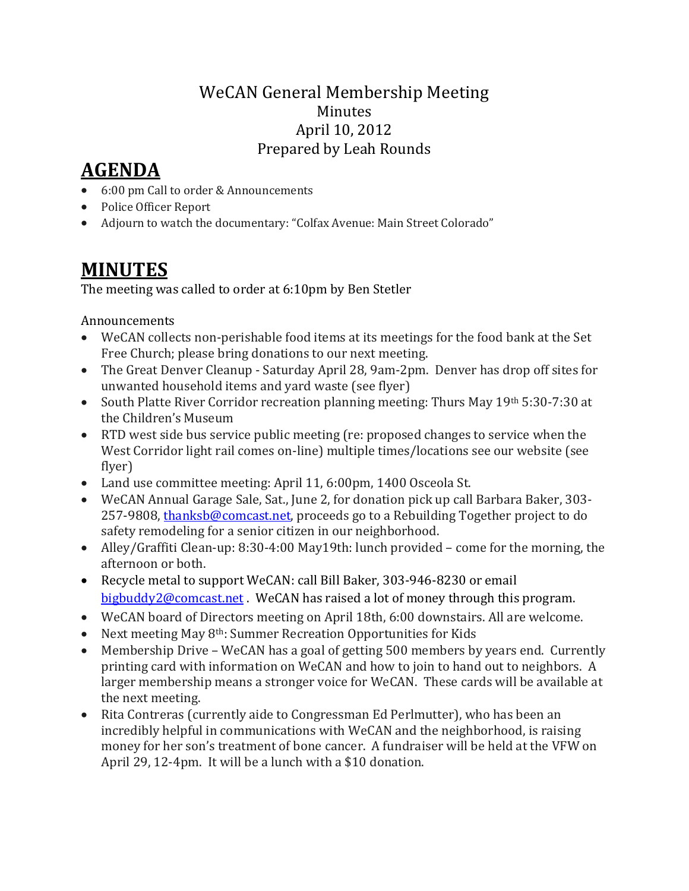## WeCAN General Membership Meeting Minutes April 10, 2012 Prepared by Leah Rounds

## **AGENDA**

- 6:00 pm Call to order & Announcements
- Police Officer Report
- Adjourn to watch the documentary: "Colfax Avenue: Main Street Colorado"

## **MINUTES**

The meeting was called to order at 6:10pm by Ben Stetler

## Announcements

- WeCAN collects non-perishable food items at its meetings for the food bank at the Set Free Church; please bring donations to our next meeting.
- The Great Denver Cleanup Saturday April 28, 9am-2pm. Denver has drop off sites for unwanted household items and yard waste (see flyer)
- South Platte River Corridor recreation planning meeting: Thurs May 19th 5:30-7:30 at the Children's Museum
- RTD west side bus service public meeting (re: proposed changes to service when the West Corridor light rail comes on-line) multiple times/locations see our website (see flyer)
- Land use committee meeting: April 11, 6:00pm, 1400 Osceola St.
- WeCAN Annual Garage Sale, Sat., June 2, for donation pick up call Barbara Baker, 303- 257-9808, [thanksb@comcast.net,](mailto:thanksb@comcast.net) proceeds go to a Rebuilding Together project to do safety remodeling for a senior citizen in our neighborhood.
- Alley/Graffiti Clean-up: 8:30-4:00 May19th: lunch provided come for the morning, the afternoon or both.
- Recycle metal to support WeCAN: call Bill Baker, 303-946-8230 or email [bigbuddy2@comcast.net](mailto:bigbuddy2@comcast.net) . WeCAN has raised a lot of money through this program.
- WeCAN board of Directors meeting on April 18th, 6:00 downstairs. All are welcome.
- Next meeting May 8<sup>th</sup>: Summer Recreation Opportunities for Kids
- Membership Drive WeCAN has a goal of getting 500 members by years end. Currently printing card with information on WeCAN and how to join to hand out to neighbors. A larger membership means a stronger voice for WeCAN. These cards will be available at the next meeting.
- Rita Contreras (currently aide to Congressman Ed Perlmutter), who has been an incredibly helpful in communications with WeCAN and the neighborhood, is raising money for her son's treatment of bone cancer. A fundraiser will be held at the VFW on April 29, 12-4pm. It will be a lunch with a \$10 donation.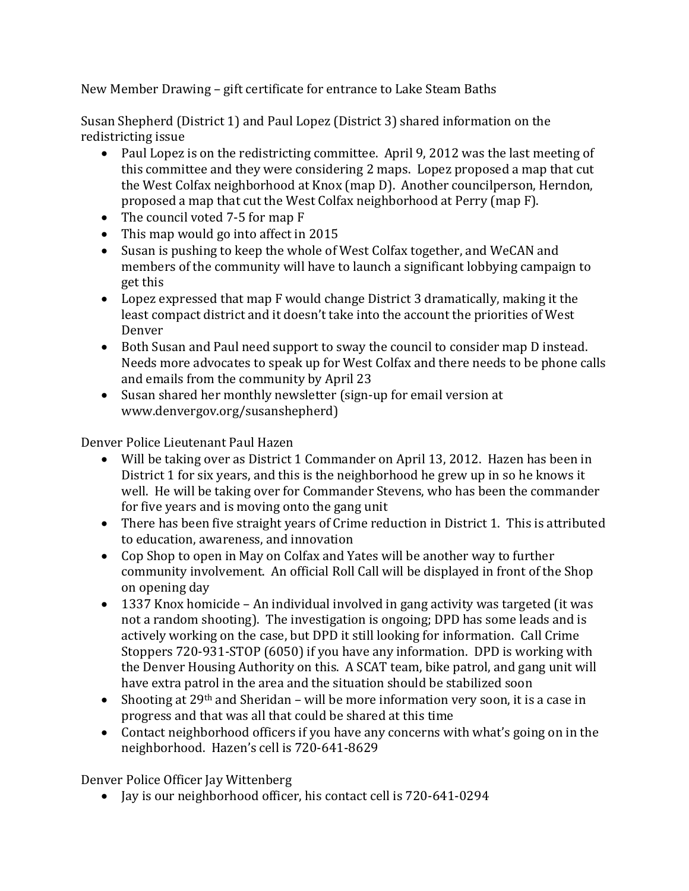New Member Drawing – gift certificate for entrance to Lake Steam Baths

Susan Shepherd (District 1) and Paul Lopez (District 3) shared information on the redistricting issue

- Paul Lopez is on the redistricting committee. April 9, 2012 was the last meeting of this committee and they were considering 2 maps. Lopez proposed a map that cut the West Colfax neighborhood at Knox (map D). Another councilperson, Herndon, proposed a map that cut the West Colfax neighborhood at Perry (map F).
- The council voted 7-5 for map F
- This map would go into affect in 2015
- Susan is pushing to keep the whole of West Colfax together, and WeCAN and members of the community will have to launch a significant lobbying campaign to get this
- Lopez expressed that map F would change District 3 dramatically, making it the least compact district and it doesn't take into the account the priorities of West Denver
- Both Susan and Paul need support to sway the council to consider map D instead. Needs more advocates to speak up for West Colfax and there needs to be phone calls and emails from the community by April 23
- Susan shared her monthly newsletter (sign-up for email version at www.denvergov.org/susanshepherd)

Denver Police Lieutenant Paul Hazen

- Will be taking over as District 1 Commander on April 13, 2012. Hazen has been in District 1 for six years, and this is the neighborhood he grew up in so he knows it well. He will be taking over for Commander Stevens, who has been the commander for five years and is moving onto the gang unit
- There has been five straight years of Crime reduction in District 1. This is attributed to education, awareness, and innovation
- Cop Shop to open in May on Colfax and Yates will be another way to further community involvement. An official Roll Call will be displayed in front of the Shop on opening day
- 1337 Knox homicide An individual involved in gang activity was targeted (it was not a random shooting). The investigation is ongoing; DPD has some leads and is actively working on the case, but DPD it still looking for information. Call Crime Stoppers 720-931-STOP (6050) if you have any information. DPD is working with the Denver Housing Authority on this. A SCAT team, bike patrol, and gang unit will have extra patrol in the area and the situation should be stabilized soon
- Shooting at 29<sup>th</sup> and Sheridan will be more information very soon, it is a case in progress and that was all that could be shared at this time
- Contact neighborhood officers if you have any concerns with what's going on in the neighborhood. Hazen's cell is 720-641-8629

Denver Police Officer Jay Wittenberg

• Jay is our neighborhood officer, his contact cell is 720-641-0294